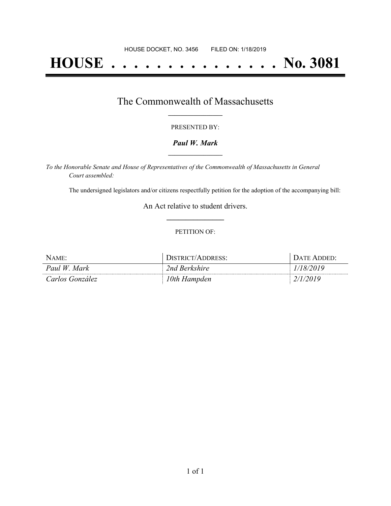# **HOUSE . . . . . . . . . . . . . . . No. 3081**

### The Commonwealth of Massachusetts **\_\_\_\_\_\_\_\_\_\_\_\_\_\_\_\_\_**

#### PRESENTED BY:

#### *Paul W. Mark* **\_\_\_\_\_\_\_\_\_\_\_\_\_\_\_\_\_**

*To the Honorable Senate and House of Representatives of the Commonwealth of Massachusetts in General Court assembled:*

The undersigned legislators and/or citizens respectfully petition for the adoption of the accompanying bill:

An Act relative to student drivers. **\_\_\_\_\_\_\_\_\_\_\_\_\_\_\_**

#### PETITION OF:

| NAME:           | <b>DISTRICT/ADDRESS:</b> | DATE ADDED: |
|-----------------|--------------------------|-------------|
| Paul W. Mark    | 2nd Berkshire            | 1/18/2019   |
| Carlos González | 10th Hampden             | 2/1/2019    |